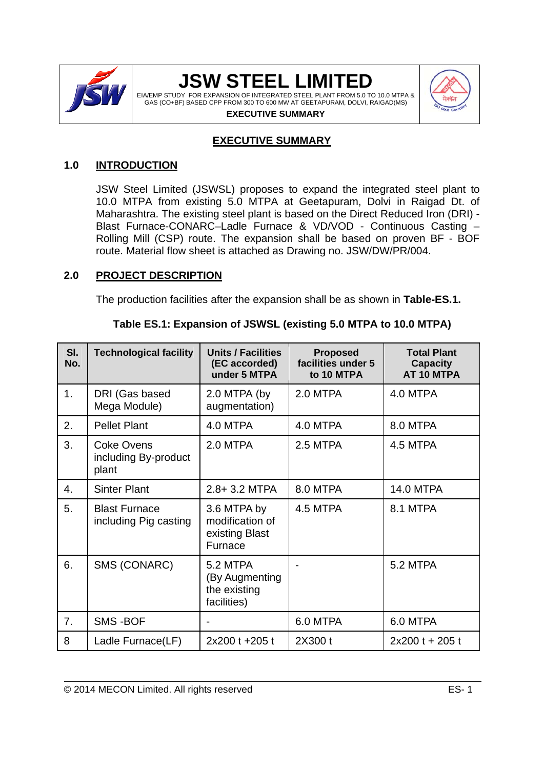

EIA/EMP STUDY FOR EXPANSION OF INTEGRATED STEEL PLANT FROM 5.0 TO 10.0 MTPA & GAS (CO+BF) BASED CPP FROM 300 TO 600 MW AT GEETAPURAM, DOLVI, RAIGAD(MS)



#### **EXECUTIVE SUMMARY**

#### **EXECUTIVE SUMMARY**

#### **1.0 INTRODUCTION**

JSW Steel Limited (JSWSL) proposes to expand the integrated steel plant to 10.0 MTPA from existing 5.0 MTPA at Geetapuram, Dolvi in Raigad Dt. of Maharashtra. The existing steel plant is based on the Direct Reduced Iron (DRI) - Blast Furnace-CONARC–Ladle Furnace & VD/VOD - Continuous Casting – Rolling Mill (CSP) route. The expansion shall be based on proven BF - BOF route. Material flow sheet is attached as Drawing no. JSW/DW/PR/004.

#### **2.0 PROJECT DESCRIPTION**

The production facilities after the expansion shall be as shown in **Table-ES.1.**

| Table ES.1: Expansion of JSWSL (existing 5.0 MTPA to 10.0 MTPA) |  |
|-----------------------------------------------------------------|--|
|                                                                 |  |

| SI.<br>No. | <b>Technological facility</b><br><b>Units / Facilities</b><br>(EC accorded)<br>under 5 MTPA |                                                             | <b>Proposed</b><br>facilities under 5<br>to 10 MTPA | <b>Total Plant</b><br><b>Capacity</b><br>AT 10 MTPA |  |
|------------|---------------------------------------------------------------------------------------------|-------------------------------------------------------------|-----------------------------------------------------|-----------------------------------------------------|--|
| 1.         | DRI (Gas based<br>Mega Module)                                                              | 2.0 MTPA (by<br>augmentation)                               | 2.0 MTPA                                            | 4.0 MTPA                                            |  |
| 2.         | <b>Pellet Plant</b>                                                                         | 4.0 MTPA                                                    | 4.0 MTPA                                            | 8.0 MTPA                                            |  |
| 3.         | <b>Coke Ovens</b><br>including By-product<br>plant                                          | 2.0 MTPA                                                    | 2.5 MTPA                                            | 4.5 MTPA                                            |  |
| 4.         | <b>Sinter Plant</b>                                                                         | 2.8+3.2 MTPA                                                | 8.0 MTPA                                            | <b>14.0 MTPA</b>                                    |  |
| 5.         | <b>Blast Furnace</b><br>including Pig casting                                               | 3.6 MTPA by<br>modification of<br>existing Blast<br>Furnace | 4.5 MTPA                                            | 8.1 MTPA                                            |  |
| 6.         | SMS (CONARC)                                                                                | 5.2 MTPA<br>(By Augmenting<br>the existing<br>facilities)   |                                                     | 5.2 MTPA                                            |  |
| 7.         | <b>SMS-BOF</b>                                                                              |                                                             | 6.0 MTPA                                            | 6.0 MTPA                                            |  |
| 8          | Ladle Furnace(LF)                                                                           | 2x200 t +205 t                                              | 2X300 t                                             | $2x200t + 205t$                                     |  |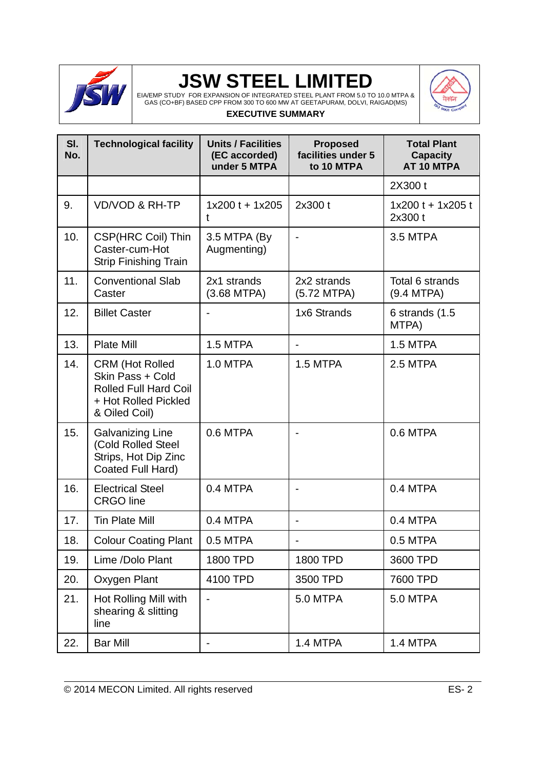

EIA/EMP STUDY FOR EXPANSION OF INTEGRATED STEEL PLANT FROM 5.0 TO 10.0 MTPA & GAS (CO+BF) BASED CPP FROM 300 TO 600 MW AT GEETAPURAM, DOLVI, RAIGAD(MS) **EXECUTIVE SUMMARY**



| SI.<br>No. | <b>Technological facility</b>                                                                                       | <b>Units / Facilities</b><br>(EC accorded)<br>under 5 MTPA | <b>Proposed</b><br>facilities under 5<br>to 10 MTPA | <b>Total Plant</b><br><b>Capacity</b><br>AT 10 MTPA |
|------------|---------------------------------------------------------------------------------------------------------------------|------------------------------------------------------------|-----------------------------------------------------|-----------------------------------------------------|
|            |                                                                                                                     |                                                            |                                                     | 2X300 t                                             |
| 9.         | <b>VD/VOD &amp; RH-TP</b>                                                                                           | $1x200t + 1x205$<br>t                                      | 2x300 t                                             | $1x200t + 1x205t$<br>2x300 t                        |
| 10.        | CSP(HRC Coil) Thin<br>Caster-cum-Hot<br><b>Strip Finishing Train</b>                                                | 3.5 MTPA (By<br>Augmenting)                                |                                                     | 3.5 MTPA                                            |
| 11.        | <b>Conventional Slab</b><br>Caster                                                                                  | 2x1 strands<br>(3.68 MTPA)                                 | 2x2 strands<br>(5.72 MTPA)                          | Total 6 strands<br>(9.4 MTPA)                       |
| 12.        | <b>Billet Caster</b>                                                                                                |                                                            | 1x6 Strands                                         | 6 strands $(1.5)$<br>MTPA)                          |
| 13.        | <b>Plate Mill</b>                                                                                                   | 1.5 MTPA                                                   | $\blacksquare$                                      | 1.5 MTPA                                            |
| 14.        | <b>CRM (Hot Rolled</b><br>Skin Pass + Cold<br><b>Rolled Full Hard Coil</b><br>+ Hot Rolled Pickled<br>& Oiled Coil) | 1.0 MTPA                                                   | 1.5 MTPA                                            | 2.5 MTPA                                            |
| 15.        | <b>Galvanizing Line</b><br>(Cold Rolled Steel<br>Strips, Hot Dip Zinc<br>Coated Full Hard)                          | 0.6 MTPA                                                   | $\blacksquare$                                      | 0.6 MTPA                                            |
| 16.        | <b>Electrical Steel</b><br><b>CRGO</b> line                                                                         | 0.4 MTPA                                                   |                                                     | 0.4 MTPA                                            |
| 17.        | <b>Tin Plate Mill</b>                                                                                               | 0.4 MTPA                                                   | ÷                                                   | 0.4 MTPA                                            |
| 18.        | <b>Colour Coating Plant</b>                                                                                         | 0.5 MTPA                                                   |                                                     | 0.5 MTPA                                            |
| 19.        | Lime /Dolo Plant                                                                                                    | 1800 TPD                                                   | 1800 TPD                                            | 3600 TPD                                            |
| 20.        | Oxygen Plant                                                                                                        | 4100 TPD                                                   | 3500 TPD                                            | 7600 TPD                                            |
| 21.        | Hot Rolling Mill with<br>shearing & slitting<br>line                                                                |                                                            | 5.0 MTPA                                            | 5.0 MTPA                                            |
| 22.        | <b>Bar Mill</b>                                                                                                     |                                                            | 1.4 MTPA                                            | 1.4 MTPA                                            |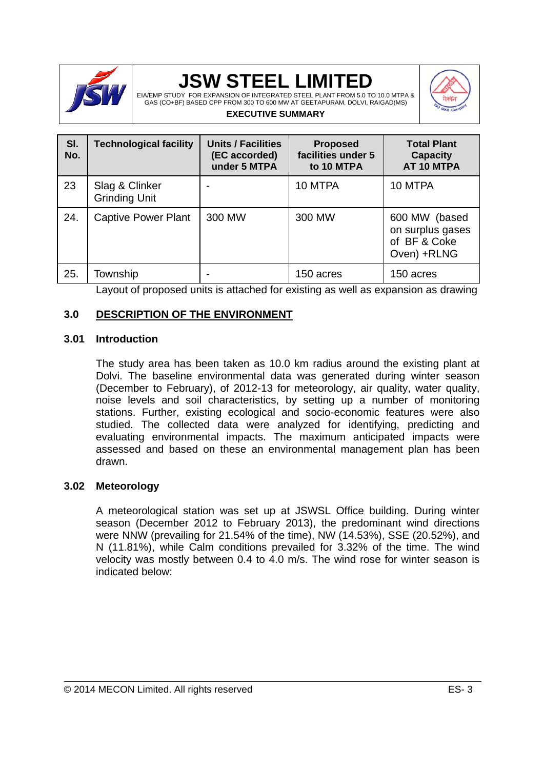

EIA/EMP STUDY FOR EXPANSION OF INTEGRATED STEEL PLANT FROM 5.0 TO 10.0 MTPA & GAS (CO+BF) BASED CPP FROM 300 TO 600 MW AT GEETAPURAM, DOLVI, RAIGAD(MS) **EXECUTIVE SUMMARY**



#### **Sl. No. Technological facility Units / Facilities (EC accorded) under 5 MTPA Proposed facilities under 5 to 10 MTPA Total Plant Capacity AT 10 MTPA**  23 Slag & Clinker Grinding Unit 10 MTPA  $\vert$  10 MTPA 24. Captive Power Plant 300 MW 1300 MW 1600 MW 60sed on surplus gases of BF & Coke Oven) +RLNG 25. Township 25. Township 25. Township 25. Township

Layout of proposed units is attached for existing as well as expansion as drawing

#### **3.0 DESCRIPTION OF THE ENVIRONMENT**

#### **3.01 Introduction**

The study area has been taken as 10.0 km radius around the existing plant at Dolvi. The baseline environmental data was generated during winter season (December to February), of 2012-13 for meteorology, air quality, water quality, noise levels and soil characteristics, by setting up a number of monitoring stations. Further, existing ecological and socio-economic features were also studied. The collected data were analyzed for identifying, predicting and evaluating environmental impacts. The maximum anticipated impacts were assessed and based on these an environmental management plan has been drawn.

#### **3.02 Meteorology**

A meteorological station was set up at JSWSL Office building. During winter season (December 2012 to February 2013), the predominant wind directions were NNW (prevailing for 21.54% of the time), NW (14.53%), SSE (20.52%), and N (11.81%), while Calm conditions prevailed for 3.32% of the time. The wind velocity was mostly between 0.4 to 4.0 m/s. The wind rose for winter season is indicated below: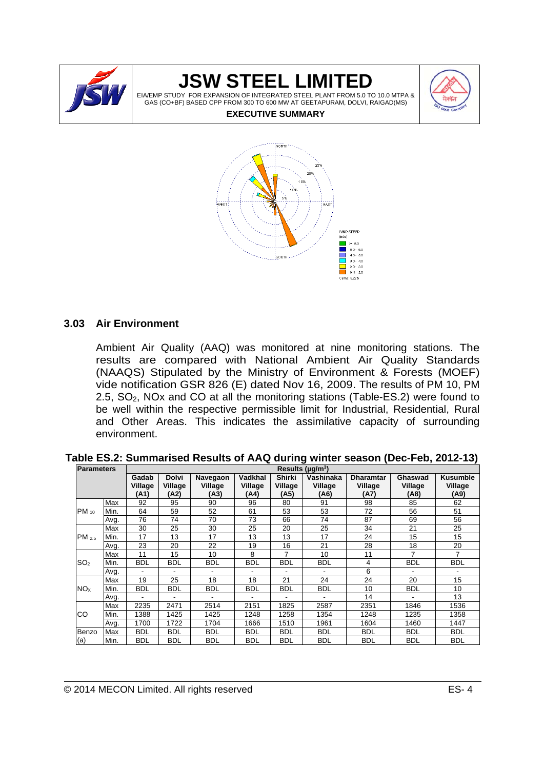

EIA/EMP STUDY FOR EXPANSION OF INTEGRATED STEEL PLANT FROM 5.0 TO 10.0 MTPA & GAS (CO+BF) BASED CPP FROM 300 TO 600 MW AT GEETAPURAM, DOLVI, RAIGAD(MS)



#### **EXECUTIVE SUMMARY**



#### **3.03 Air Environment**

Ambient Air Quality (AAQ) was monitored at nine monitoring stations. The results are compared with National Ambient Air Quality Standards (NAAQS) Stipulated by the Ministry of Environment & Forests (MOEF) vide notification GSR 826 (E) dated Nov 16, 2009. The results of PM 10, PM 2.5,  $SO<sub>2</sub>$ , NOx and CO at all the monitoring stations (Table-ES.2) were found to be well within the respective permissible limit for Industrial, Residential, Rural and Other Areas. This indicates the assimilative capacity of surrounding environment.

| Table ES.2: Summarised Results of AAQ during winter season (Dec-Feb, 2012-13) |  |  |
|-------------------------------------------------------------------------------|--|--|
|-------------------------------------------------------------------------------|--|--|

| Parameters             |      | Results ( $\mu$ g/m <sup>3</sup> ) |                                 |                             |                            |                                  |                              |                                     |                            |                                    |
|------------------------|------|------------------------------------|---------------------------------|-----------------------------|----------------------------|----------------------------------|------------------------------|-------------------------------------|----------------------------|------------------------------------|
|                        |      | Gadab<br>Village<br>(A1)           | <b>Dolvi</b><br>Village<br>(A2) | Navegaon<br>Village<br>(A3) | Vadkhal<br>Village<br>(A4) | <b>Shirki</b><br>Village<br>(A5) | Vashinaka<br>Village<br>(A6) | <b>Dharamtar</b><br>Village<br>(A7) | Ghaswad<br>Village<br>(A8) | <b>Kusumble</b><br>Village<br>(A9) |
|                        | Max  | 92                                 | 95                              | 90                          | 96                         | 80                               | 91                           | 98                                  | 85                         | 62                                 |
| $PM_{10}$              | Min. | 64                                 | 59                              | 52                          | 61                         | 53                               | 53                           | 72                                  | 56                         | 51                                 |
|                        | Avg. | 76                                 | 74                              | 70                          | 73                         | 66                               | 74                           | 87                                  | 69                         | 56                                 |
|                        | Max  | 30                                 | 25                              | 30                          | 25                         | 20                               | 25                           | 34                                  | 21                         | 25                                 |
| PM 2.5                 | Min. | 17                                 | 13                              | 17                          | 13                         | 13                               | 17                           | 24                                  | 15                         | 15                                 |
|                        | Avg. | 23                                 | 20                              | 22                          | 19                         | 16                               | 21                           | 28                                  | 18                         | 20                                 |
|                        | Max  | 11                                 | 15                              | 10                          | 8                          | 7                                | 10                           | 11                                  | $\overline{7}$             | $\overline{7}$                     |
| SO <sub>2</sub>        | Min. | <b>BDL</b>                         | <b>BDL</b>                      | <b>BDL</b>                  | <b>BDL</b>                 | <b>BDL</b>                       | <b>BDL</b>                   | $\overline{4}$                      | <b>BDL</b>                 | <b>BDL</b>                         |
|                        | Avg. |                                    |                                 |                             | -                          | -                                | $\overline{\phantom{0}}$     | 6                                   | $\overline{\phantom{a}}$   |                                    |
|                        | Max  | 19                                 | 25                              | 18                          | 18                         | 21                               | 24                           | 24                                  | 20                         | 15                                 |
| <b>NO</b> <sub>x</sub> | Min. | <b>BDL</b>                         | BDL                             | BDL                         | BDL                        | <b>BDL</b>                       | <b>BDL</b>                   | 10                                  | <b>BDL</b>                 | 10                                 |
|                        | Avg. |                                    |                                 |                             | ۰                          | ٠                                | $\overline{\phantom{0}}$     | 14                                  | -                          | 13                                 |
| CO                     | Max  | 2235                               | 2471                            | 2514                        | 2151                       | 1825                             | 2587                         | 2351                                | 1846                       | 1536                               |
|                        | Min. | 1388                               | 1425                            | 1425                        | 1248                       | 1258                             | 1354                         | 1248                                | 1235                       | 1358                               |
|                        | Avg. | 1700                               | 1722                            | 1704                        | 1666                       | 1510                             | 1961                         | 1604                                | 1460                       | 1447                               |
| Benzo                  | Max  | <b>BDL</b>                         | <b>BDL</b>                      | <b>BDL</b>                  | BDL                        | <b>BDL</b>                       | <b>BDL</b>                   | <b>BDL</b>                          | <b>BDL</b>                 | <b>BDL</b>                         |
| (a)                    | Min. | <b>BDL</b>                         | <b>BDL</b>                      | <b>BDL</b>                  | <b>BDL</b>                 | <b>BDL</b>                       | <b>BDL</b>                   | <b>BDL</b>                          | <b>BDL</b>                 | <b>BDL</b>                         |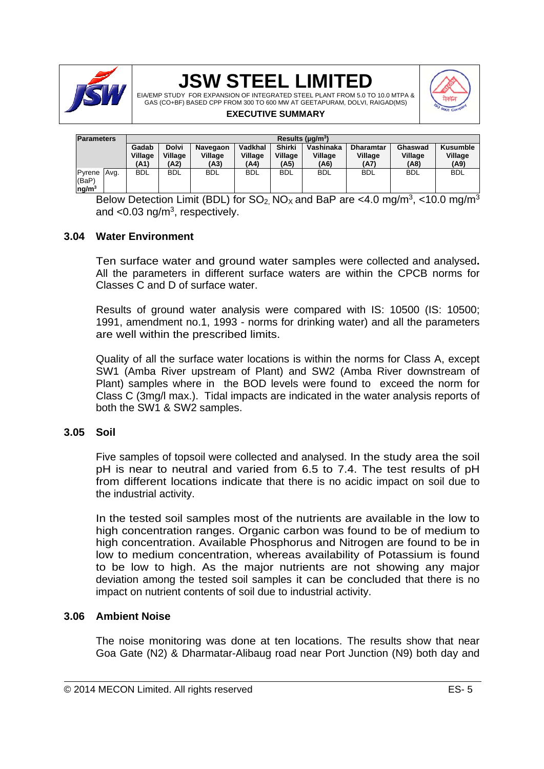

EIA/EMP STUDY FOR EXPANSION OF INTEGRATED STEEL PLANT FROM 5.0 TO 10.0 MTPA & GAS (CO+BF) BASED CPP FROM 300 TO 600 MW AT GEETAPURAM, DOLVI, RAIGAD(MS)



#### **EXECUTIVE SUMMARY**

| <b>Parameters</b>                              |  | Results ( $\mu$ g/m <sup>3</sup> ) |                                 |                             |                            |                                  |                              |                                     |                            |                             |
|------------------------------------------------|--|------------------------------------|---------------------------------|-----------------------------|----------------------------|----------------------------------|------------------------------|-------------------------------------|----------------------------|-----------------------------|
|                                                |  | Gadab<br>Village<br>(A1)           | <b>Dolvi</b><br>Village<br>(A2) | Navegaon<br>Village<br>(A3) | Vadkhal<br>Village<br>(A4) | <b>Shirki</b><br>Village<br>(A5) | Vashinaka<br>Village<br>(A6) | <b>Dharamtar</b><br>Village<br>(A7) | Ghaswad<br>Village<br>(A8) | Kusumble<br>Village<br>(A9) |
| Pyrene Avg.<br>(BaP)<br>$\log$ /m <sup>3</sup> |  | <b>BDL</b>                         | <b>BDL</b>                      | <b>BDL</b>                  | <b>BDL</b>                 | <b>BDL</b>                       | <b>BDL</b>                   | <b>BDL</b>                          | <b>BDL</b>                 | <b>BDL</b>                  |

Below Detection Limit (BDL) for  $SO_2$ , NO<sub>x</sub> and BaP are <4.0 mg/m<sup>3</sup>, <10.0 mg/m<sup>3</sup> and  $<$ 0.03 ng/m<sup>3</sup>, respectively.

#### **3.04 Water Environment**

Ten surface water and ground water samples were collected and analysed**.**  All the parameters in different surface waters are within the CPCB norms for Classes C and D of surface water.

Results of ground water analysis were compared with IS: 10500 (IS: 10500; 1991, amendment no.1, 1993 - norms for drinking water) and all the parameters are well within the prescribed limits.

Quality of all the surface water locations is within the norms for Class A, except SW1 (Amba River upstream of Plant) and SW2 (Amba River downstream of Plant) samples where in the BOD levels were found to exceed the norm for Class C (3mg/l max.). Tidal impacts are indicated in the water analysis reports of both the SW1 & SW2 samples.

#### **3.05 Soil**

Five samples of topsoil were collected and analysed. In the study area the soil pH is near to neutral and varied from 6.5 to 7.4. The test results of pH from different locations indicate that there is no acidic impact on soil due to the industrial activity.

In the tested soil samples most of the nutrients are available in the low to high concentration ranges. Organic carbon was found to be of medium to high concentration. Available Phosphorus and Nitrogen are found to be in low to medium concentration, whereas availability of Potassium is found to be low to high. As the major nutrients are not showing any major deviation among the tested soil samples it can be concluded that there is no impact on nutrient contents of soil due to industrial activity.

#### **3.06 Ambient Noise**

The noise monitoring was done at ten locations. The results show that near Goa Gate (N2) & Dharmatar-Alibaug road near Port Junction (N9) both day and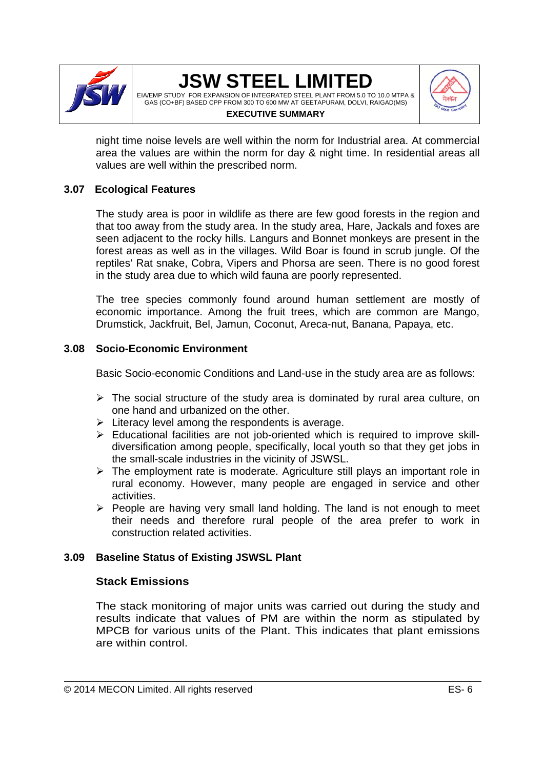

#### **JSW STEEL LIMITED**  EIA/EMP STUDY FOR EXPANSION OF INTEGRATED STEEL PLANT FROM 5.0 TO 10.0 MTPA & GAS (CO+BF) BASED CPP FROM 300 TO 600 MW AT GEETAPURAM, DOLVI, RAIGAD(MS)



**EXECUTIVE SUMMARY**

night time noise levels are well within the norm for Industrial area. At commercial area the values are within the norm for day & night time. In residential areas all values are well within the prescribed norm.

### **3.07 Ecological Features**

The study area is poor in wildlife as there are few good forests in the region and that too away from the study area. In the study area, Hare, Jackals and foxes are seen adjacent to the rocky hills. Langurs and Bonnet monkeys are present in the forest areas as well as in the villages. Wild Boar is found in scrub jungle. Of the reptiles' Rat snake, Cobra, Vipers and Phorsa are seen. There is no good forest in the study area due to which wild fauna are poorly represented.

The tree species commonly found around human settlement are mostly of economic importance. Among the fruit trees, which are common are Mango, Drumstick, Jackfruit, Bel, Jamun, Coconut, Areca-nut, Banana, Papaya, etc.

### **3.08 Socio-Economic Environment**

Basic Socio-economic Conditions and Land-use in the study area are as follows:

- $\triangleright$  The social structure of the study area is dominated by rural area culture, on one hand and urbanized on the other.
- $\triangleright$  Literacy level among the respondents is average.
- $\triangleright$  Educational facilities are not job-oriented which is required to improve skilldiversification among people, specifically, local youth so that they get jobs in the small-scale industries in the vicinity of JSWSL.
- $\triangleright$  The employment rate is moderate. Agriculture still plays an important role in rural economy. However, many people are engaged in service and other activities.
- $\triangleright$  People are having very small land holding. The land is not enough to meet their needs and therefore rural people of the area prefer to work in construction related activities.

### **3.09 Baseline Status of Existing JSWSL Plant**

### **Stack Emissions**

The stack monitoring of major units was carried out during the study and results indicate that values of PM are within the norm as stipulated by MPCB for various units of the Plant. This indicates that plant emissions are within control.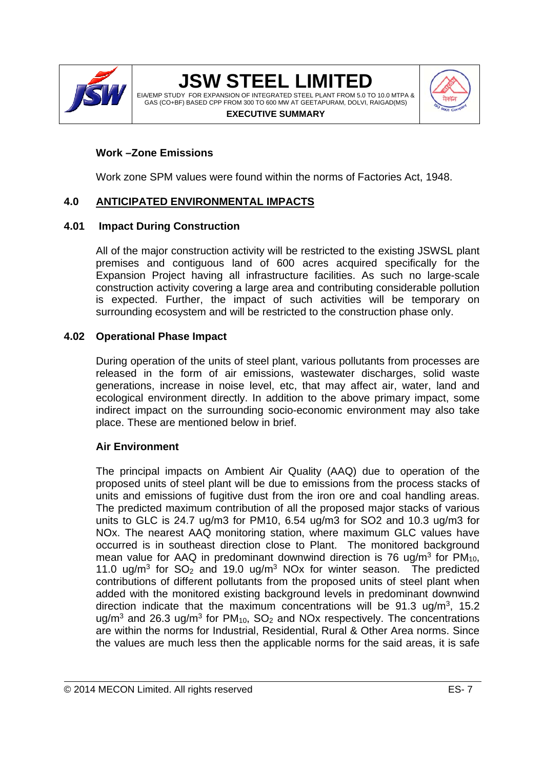

EIA/EMP STUDY FOR EXPANSION OF INTEGRATED STEEL PLANT FROM 5.0 TO 10.0 MTPA & GAS (CO+BF) BASED CPP FROM 300 TO 600 MW AT GEETAPURAM, DOLVI, RAIGAD(MS)



#### **EXECUTIVE SUMMARY**

### **Work –Zone Emissions**

Work zone SPM values were found within the norms of Factories Act, 1948.

### **4.0 ANTICIPATED ENVIRONMENTAL IMPACTS**

#### **4.01 Impact During Construction**

All of the major construction activity will be restricted to the existing JSWSL plant premises and contiguous land of 600 acres acquired specifically for the Expansion Project having all infrastructure facilities. As such no large-scale construction activity covering a large area and contributing considerable pollution is expected. Further, the impact of such activities will be temporary on surrounding ecosystem and will be restricted to the construction phase only.

#### **4.02 Operational Phase Impact**

During operation of the units of steel plant, various pollutants from processes are released in the form of air emissions, wastewater discharges, solid waste generations, increase in noise level, etc, that may affect air, water, land and ecological environment directly. In addition to the above primary impact, some indirect impact on the surrounding socio-economic environment may also take place. These are mentioned below in brief.

### **Air Environment**

The principal impacts on Ambient Air Quality (AAQ) due to operation of the proposed units of steel plant will be due to emissions from the process stacks of units and emissions of fugitive dust from the iron ore and coal handling areas. The predicted maximum contribution of all the proposed major stacks of various units to GLC is 24.7 ug/m3 for PM10, 6.54 ug/m3 for SO2 and 10.3 ug/m3 for NOx. The nearest AAQ monitoring station, where maximum GLC values have occurred is in southeast direction close to Plant. The monitored background mean value for AAQ in predominant downwind direction is 76 ug/m<sup>3</sup> for  $PM_{10}$ , 11.0 ug/m<sup>3</sup> for  $SO_2$  and 19.0 ug/m<sup>3</sup> NOx for winter season. The predicted contributions of different pollutants from the proposed units of steel plant when added with the monitored existing background levels in predominant downwind direction indicate that the maximum concentrations will be  $91.3 \text{ uq/m}^3$ , 15.2 ug/m<sup>3</sup> and 26.3 ug/m<sup>3</sup> for  $PM_{10}$ , SO<sub>2</sub> and NOx respectively. The concentrations are within the norms for Industrial, Residential, Rural & Other Area norms. Since the values are much less then the applicable norms for the said areas, it is safe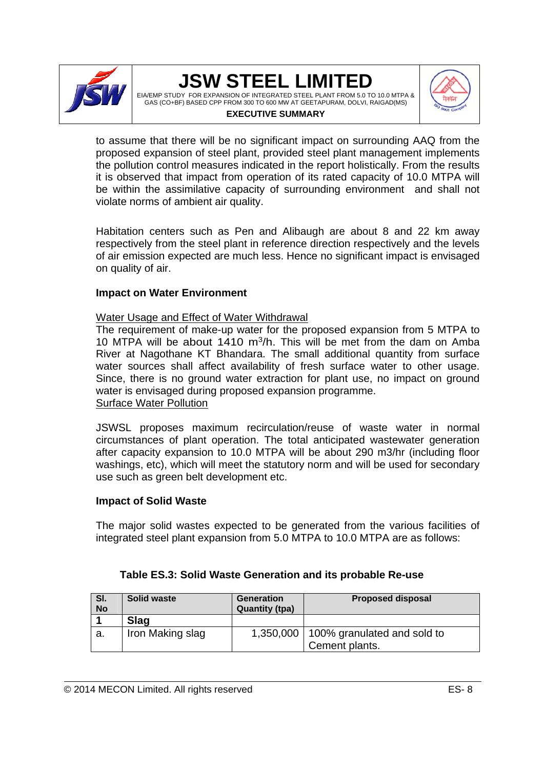

EIA/EMP STUDY FOR EXPANSION OF INTEGRATED STEEL PLANT FROM 5.0 TO 10.0 MTPA & GAS (CO+BF) BASED CPP FROM 300 TO 600 MW AT GEETAPURAM, DOLVI, RAIGAD(MS) **EXECUTIVE SUMMARY**



to assume that there will be no significant impact on surrounding AAQ from the proposed expansion of steel plant, provided steel plant management implements the pollution control measures indicated in the report holistically. From the results it is observed that impact from operation of its rated capacity of 10.0 MTPA will be within the assimilative capacity of surrounding environment and shall not violate norms of ambient air quality.

Habitation centers such as Pen and Alibaugh are about 8 and 22 km away respectively from the steel plant in reference direction respectively and the levels of air emission expected are much less. Hence no significant impact is envisaged on quality of air.

#### **Impact on Water Environment**

#### Water Usage and Effect of Water Withdrawal

The requirement of make-up water for the proposed expansion from 5 MTPA to 10 MTPA will be about 1410  $m^3/h$ . This will be met from the dam on Amba River at Nagothane KT Bhandara. The small additional quantity from surface water sources shall affect availability of fresh surface water to other usage. Since, there is no ground water extraction for plant use, no impact on ground water is envisaged during proposed expansion programme. Surface Water Pollution

JSWSL proposes maximum recirculation/reuse of waste water in normal circumstances of plant operation. The total anticipated wastewater generation after capacity expansion to 10.0 MTPA will be about 290 m3/hr (including floor washings, etc), which will meet the statutory norm and will be used for secondary use such as green belt development etc.

#### **Impact of Solid Waste**

The major solid wastes expected to be generated from the various facilities of integrated steel plant expansion from 5.0 MTPA to 10.0 MTPA are as follows:

| SI.       | <b>Solid waste</b> | <b>Generation</b>     | <b>Proposed disposal</b>                |
|-----------|--------------------|-----------------------|-----------------------------------------|
| <b>No</b> |                    | <b>Quantity (tpa)</b> |                                         |
|           | <b>Slag</b>        |                       |                                         |
| а.        | Iron Making slag   |                       | 1,350,000   100% granulated and sold to |
|           |                    |                       | Cement plants.                          |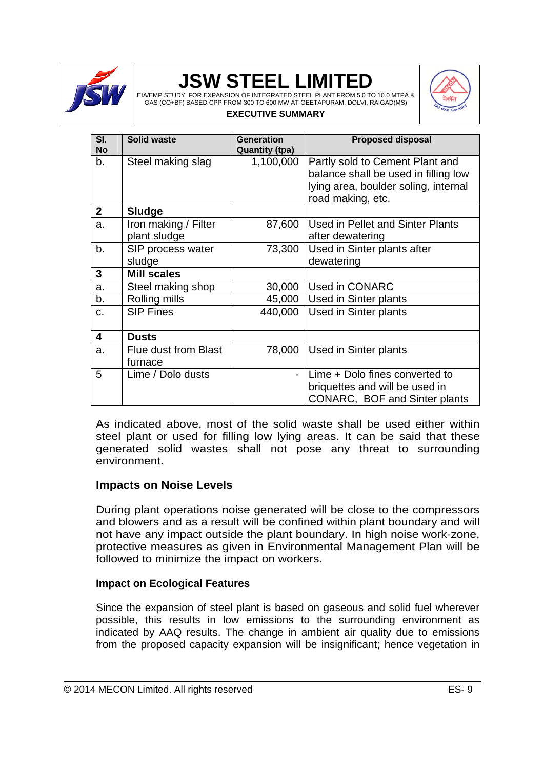

EIA/EMP STUDY FOR EXPANSION OF INTEGRATED STEEL PLANT FROM 5.0 TO 10.0 MTPA & GAS (CO+BF) BASED CPP FROM 300 TO 600 MW AT GEETAPURAM, DOLVI, RAIGAD(MS)



#### **EXECUTIVE SUMMARY**

| SI.<br><b>No</b> | <b>Solid waste</b>                   | Generation<br><b>Quantity (tpa)</b> | <b>Proposed disposal</b>                                                                                                             |
|------------------|--------------------------------------|-------------------------------------|--------------------------------------------------------------------------------------------------------------------------------------|
| b.               | Steel making slag                    | 1,100,000                           | Partly sold to Cement Plant and<br>balance shall be used in filling low<br>lying area, boulder soling, internal<br>road making, etc. |
| $\mathbf{2}$     | Sludge                               |                                     |                                                                                                                                      |
| a.               | Iron making / Filter<br>plant sludge | 87,600                              | Used in Pellet and Sinter Plants<br>after dewatering                                                                                 |
| b.               | SIP process water<br>sludge          | 73,300                              | Used in Sinter plants after<br>dewatering                                                                                            |
| 3                | <b>Mill scales</b>                   |                                     |                                                                                                                                      |
| a.               | Steel making shop                    | 30,000                              | Used in CONARC                                                                                                                       |
| b.               | Rolling mills                        | 45,000                              | Used in Sinter plants                                                                                                                |
| C.               | <b>SIP Fines</b>                     | 440,000                             | Used in Sinter plants                                                                                                                |
| 4                | <b>Dusts</b>                         |                                     |                                                                                                                                      |
| a.               | Flue dust from Blast<br>furnace      | 78,000                              | Used in Sinter plants                                                                                                                |
| 5                | Lime / Dolo dusts                    |                                     | Lime + Dolo fines converted to<br>briquettes and will be used in<br>CONARC, BOF and Sinter plants                                    |

As indicated above, most of the solid waste shall be used either within steel plant or used for filling low lying areas. It can be said that these generated solid wastes shall not pose any threat to surrounding environment.

#### **Impacts on Noise Levels**

During plant operations noise generated will be close to the compressors and blowers and as a result will be confined within plant boundary and will not have any impact outside the plant boundary. In high noise work-zone, protective measures as given in Environmental Management Plan will be followed to minimize the impact on workers.

#### **Impact on Ecological Features**

Since the expansion of steel plant is based on gaseous and solid fuel wherever possible, this results in low emissions to the surrounding environment as indicated by AAQ results. The change in ambient air quality due to emissions from the proposed capacity expansion will be insignificant; hence vegetation in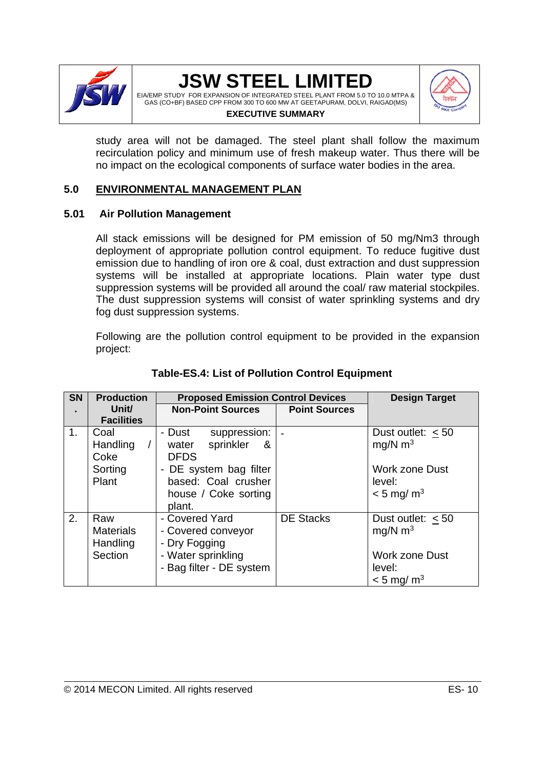

EIA/EMP STUDY FOR EXPANSION OF INTEGRATED STEEL PLANT FROM 5.0 TO 10.0 MTPA & GAS (CO+BF) BASED CPP FROM 300 TO 600 MW AT GEETAPURAM, DOLVI, RAIGAD(MS) **EXECUTIVE SUMMARY**



study area will not be damaged. The steel plant shall follow the maximum recirculation policy and minimum use of fresh makeup water. Thus there will be no impact on the ecological components of surface water bodies in the area.

#### **5.0 ENVIRONMENTAL MANAGEMENT PLAN**

#### **5.01 Air Pollution Management**

All stack emissions will be designed for PM emission of 50 mg/Nm3 through deployment of appropriate pollution control equipment. To reduce fugitive dust emission due to handling of iron ore & coal, dust extraction and dust suppression systems will be installed at appropriate locations. Plain water type dust suppression systems will be provided all around the coal/ raw material stockpiles. The dust suppression systems will consist of water sprinkling systems and dry fog dust suppression systems.

Following are the pollution control equipment to be provided in the expansion project:

| <b>SN</b>      | <b>Production</b>                              | <b>Proposed Emission Control Devices</b>                                                                                                             | <b>Design Target</b> |                                                                                                             |
|----------------|------------------------------------------------|------------------------------------------------------------------------------------------------------------------------------------------------------|----------------------|-------------------------------------------------------------------------------------------------------------|
|                | Unit/<br><b>Facilities</b>                     | <b>Non-Point Sources</b>                                                                                                                             | <b>Point Sources</b> |                                                                                                             |
| 1 <sub>1</sub> | Coal<br>Handling<br>Coke<br>Sorting<br>Plant   | - Dust<br>suppression:<br>sprinkler<br>water<br><u>&amp;</u><br><b>DFDS</b><br>- DE system bag filter<br>based: Coal crusher<br>house / Coke sorting |                      | Dust outlet: $<$ 50<br>mg/N $m3$<br><b>Work zone Dust</b><br>level:<br>$< 5$ mg/m <sup>3</sup>              |
| 2.             | Raw<br><b>Materials</b><br>Handling<br>Section | plant.<br>- Covered Yard<br>- Covered conveyor<br>- Dry Fogging<br>- Water sprinkling<br>- Bag filter - DE system                                    | <b>DE Stacks</b>     | Dust outlet: $<$ 50<br>$mq/N$ m <sup>3</sup><br><b>Work zone Dust</b><br>level:<br>$<$ 5 mg/ m <sup>3</sup> |

#### **Table-ES.4: List of Pollution Control Equipment**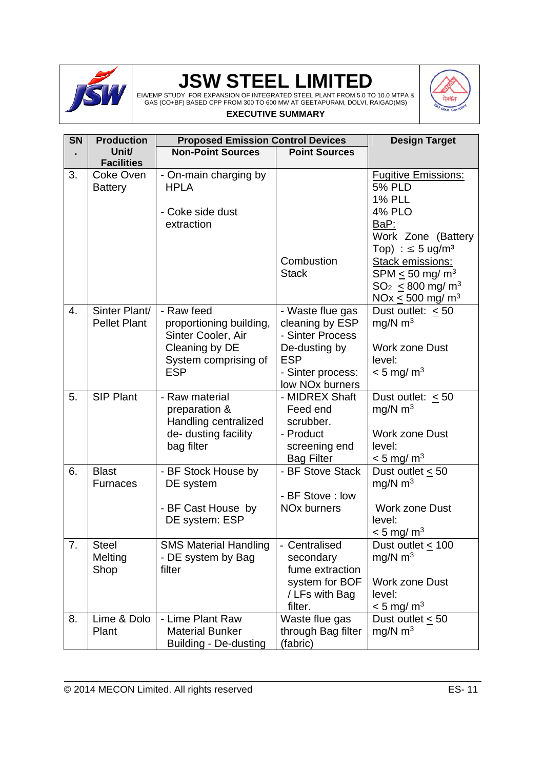

EIA/EMP STUDY FOR EXPANSION OF INTEGRATED STEEL PLANT FROM 5.0 TO 10.0 MTPA & GAS (CO+BF) BASED CPP FROM 300 TO 600 MW AT GEETAPURAM, DOLVI, RAIGAD(MS) **EXECUTIVE SUMMARY**



| <b>SN</b> | <b>Production</b>                                | <b>Proposed Emission Control Devices</b>                                                                            |                                                                                                                                            | <b>Design Target</b>                                                                                                                                                                                                                                                                       |
|-----------|--------------------------------------------------|---------------------------------------------------------------------------------------------------------------------|--------------------------------------------------------------------------------------------------------------------------------------------|--------------------------------------------------------------------------------------------------------------------------------------------------------------------------------------------------------------------------------------------------------------------------------------------|
|           | Unit/                                            | <b>Non-Point Sources</b>                                                                                            | <b>Point Sources</b>                                                                                                                       |                                                                                                                                                                                                                                                                                            |
| 3.        | <b>Facilities</b><br>Coke Oven<br><b>Battery</b> | - On-main charging by<br><b>HPLA</b><br>- Coke side dust<br>extraction                                              | Combustion<br><b>Stack</b>                                                                                                                 | <b>Fugitive Emissions:</b><br><b>5% PLD</b><br><b>1% PLL</b><br><b>4% PLO</b><br>BaP:<br>Work Zone (Battery<br>Top) : $\leq$ 5 ug/m <sup>3</sup><br><b>Stack emissions:</b><br>SPM $\leq$ 50 mg/ m <sup>3</sup><br>$SO_2 \leq 800$ mg/ m <sup>3</sup><br>NOx $\leq 500$ mg/ m <sup>3</sup> |
| 4.        | Sinter Plant/<br><b>Pellet Plant</b>             | - Raw feed<br>proportioning building,<br>Sinter Cooler, Air<br>Cleaning by DE<br>System comprising of<br><b>ESP</b> | - Waste flue gas<br>cleaning by ESP<br>- Sinter Process<br>De-dusting by<br><b>ESP</b><br>- Sinter process:<br>low NO <sub>x</sub> burners | Dust outlet: $< 50$<br>$mq/N$ m <sup>3</sup><br><b>Work zone Dust</b><br>level:<br>$< 5$ mg/ m <sup>3</sup>                                                                                                                                                                                |
| 5.        | <b>SIP Plant</b>                                 | - Raw material<br>preparation &<br>Handling centralized<br>de-dusting facility<br>bag filter                        | - MIDREX Shaft<br>Feed end<br>scrubber.<br>- Product<br>screening end<br><b>Bag Filter</b>                                                 | Dust outlet: $\leq 50$<br>mg/N $m3$<br><b>Work zone Dust</b><br>level:<br>$< 5$ mg/m <sup>3</sup>                                                                                                                                                                                          |
| 6.        | <b>Blast</b><br><b>Furnaces</b>                  | - BF Stock House by<br>DE system<br>- BF Cast House by<br>DE system: ESP                                            | - BF Stove Stack<br>- BF Stove: low<br><b>NO<sub>x</sub></b> burners                                                                       | Dust outlet $\leq 50$<br>mg/N $m3$<br>Work zone Dust<br>level:<br>$<$ 5 mg/ m <sup>3</sup>                                                                                                                                                                                                 |
| 7.        | <b>Steel</b><br>Melting<br>Shop                  | <b>SMS Material Handling</b><br>- DE system by Bag<br>filter                                                        | Centralised<br>secondary<br>fume extraction<br>system for BOF<br>/ LFs with Bag<br>filter.                                                 | Dust outlet $\leq 100$<br>mg/N $m3$<br><b>Work zone Dust</b><br>level:<br>$< 5$ mg/ m <sup>3</sup>                                                                                                                                                                                         |
| 8.        | Lime & Dolo<br>Plant                             | - Lime Plant Raw<br><b>Material Bunker</b><br>Building - De-dusting                                                 | Waste flue gas<br>through Bag filter<br>(fabric)                                                                                           | Dust outlet $\leq 50$<br>mg/N $m3$                                                                                                                                                                                                                                                         |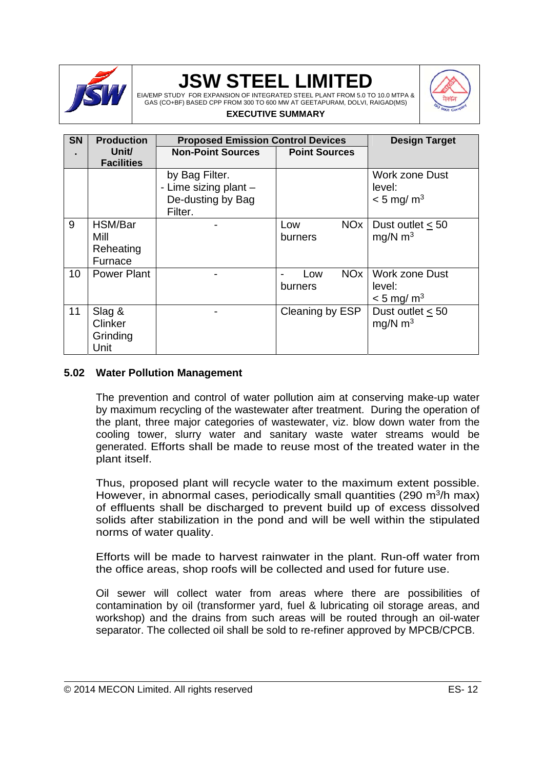

EIA/EMP STUDY FOR EXPANSION OF INTEGRATED STEEL PLANT FROM 5.0 TO 10.0 MTPA & GAS (CO+BF) BASED CPP FROM 300 TO 600 MW AT GEETAPURAM, DOLVI, RAIGAD(MS) **EXECUTIVE SUMMARY**



#### **SN . Production Unit/ Facilities Proposed Emission Control Devices | Design Target Non-Point Sources | Point Sources** by Bag Filter. - Lime sizing plant – De-dusting by Bag Filter. Work zone Dust level:  $< 5$  mg/m<sup>3</sup> 9 HSM/Bar Mill Reheating Furnace Low NO<sub>x</sub> burners Dust outlet < 50 mg/N  $m<sup>3</sup>$ 10 Power Plant | The Cow NOx burners Work zone Dust level:  $<$  5 mg/ m<sup>3</sup> 11 Slag & **Clinker Grinding** Unit Cleaning by ESP | Dust outlet  $\leq 50$ mg/N  $m<sup>3</sup>$

#### **5.02 Water Pollution Management**

The prevention and control of water pollution aim at conserving make-up water by maximum recycling of the wastewater after treatment. During the operation of the plant, three major categories of wastewater, viz. blow down water from the cooling tower, slurry water and sanitary waste water streams would be generated. Efforts shall be made to reuse most of the treated water in the plant itself.

Thus, proposed plant will recycle water to the maximum extent possible. However, in abnormal cases, periodically small quantities (290  $m^3/h$  max) of effluents shall be discharged to prevent build up of excess dissolved solids after stabilization in the pond and will be well within the stipulated norms of water quality.

Efforts will be made to harvest rainwater in the plant. Run-off water from the office areas, shop roofs will be collected and used for future use.

Oil sewer will collect water from areas where there are possibilities of contamination by oil (transformer yard, fuel & lubricating oil storage areas, and workshop) and the drains from such areas will be routed through an oil-water separator. The collected oil shall be sold to re-refiner approved by MPCB/CPCB.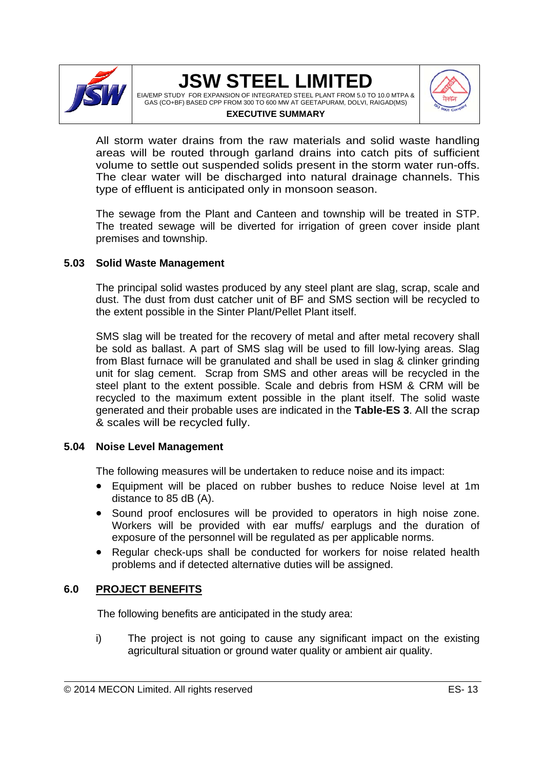

EIA/EMP STUDY FOR EXPANSION OF INTEGRATED STEEL PLANT FROM 5.0 TO 10.0 MTPA & GAS (CO+BF) BASED CPP FROM 300 TO 600 MW AT GEETAPURAM, DOLVI, RAIGAD(MS) **EXECUTIVE SUMMARY**



All storm water drains from the raw materials and solid waste handling areas will be routed through garland drains into catch pits of sufficient volume to settle out suspended solids present in the storm water run-offs. The clear water will be discharged into natural drainage channels. This type of effluent is anticipated only in monsoon season.

The sewage from the Plant and Canteen and township will be treated in STP. The treated sewage will be diverted for irrigation of green cover inside plant premises and township.

#### **5.03 Solid Waste Management**

The principal solid wastes produced by any steel plant are slag, scrap, scale and dust. The dust from dust catcher unit of BF and SMS section will be recycled to the extent possible in the Sinter Plant/Pellet Plant itself.

SMS slag will be treated for the recovery of metal and after metal recovery shall be sold as ballast. A part of SMS slag will be used to fill low-lying areas. Slag from Blast furnace will be granulated and shall be used in slag & clinker grinding unit for slag cement. Scrap from SMS and other areas will be recycled in the steel plant to the extent possible. Scale and debris from HSM & CRM will be recycled to the maximum extent possible in the plant itself. The solid waste generated and their probable uses are indicated in the **Table-ES 3**. All the scrap & scales will be recycled fully.

#### **5.04 Noise Level Management**

The following measures will be undertaken to reduce noise and its impact:

- Equipment will be placed on rubber bushes to reduce Noise level at 1m distance to 85 dB (A).
- Sound proof enclosures will be provided to operators in high noise zone. Workers will be provided with ear muffs/ earplugs and the duration of exposure of the personnel will be regulated as per applicable norms.
- Regular check-ups shall be conducted for workers for noise related health problems and if detected alternative duties will be assigned.

#### **6.0 PROJECT BENEFITS**

The following benefits are anticipated in the study area:

i) The project is not going to cause any significant impact on the existing agricultural situation or ground water quality or ambient air quality.